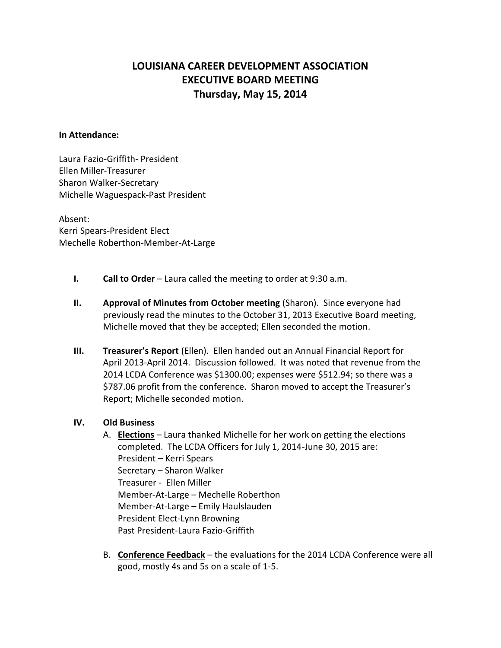# **LOUISIANA CAREER DEVELOPMENT ASSOCIATION EXECUTIVE BOARD MEETING Thursday, May 15, 2014**

#### **In Attendance:**

Laura Fazio-Griffith- President Ellen Miller-Treasurer Sharon Walker-Secretary Michelle Waguespack-Past President

Absent: Kerri Spears-President Elect Mechelle Roberthon-Member-At-Large

- **I. Call to Order** Laura called the meeting to order at 9:30 a.m.
- **II. Approval of Minutes from October meeting** (Sharon). Since everyone had previously read the minutes to the October 31, 2013 Executive Board meeting, Michelle moved that they be accepted; Ellen seconded the motion.
- **III. Treasurer's Report** (Ellen). Ellen handed out an Annual Financial Report for April 2013-April 2014. Discussion followed. It was noted that revenue from the 2014 LCDA Conference was \$1300.00; expenses were \$512.94; so there was a \$787.06 profit from the conference. Sharon moved to accept the Treasurer's Report; Michelle seconded motion.

#### **IV. Old Business**

- A. **Elections** Laura thanked Michelle for her work on getting the elections completed. The LCDA Officers for July 1, 2014-June 30, 2015 are: President – Kerri Spears Secretary – Sharon Walker Treasurer - Ellen Miller Member-At-Large – Mechelle Roberthon Member-At-Large – Emily Haulslauden President Elect-Lynn Browning Past President-Laura Fazio-Griffith
- B. **Conference Feedback** the evaluations for the 2014 LCDA Conference were all good, mostly 4s and 5s on a scale of 1-5.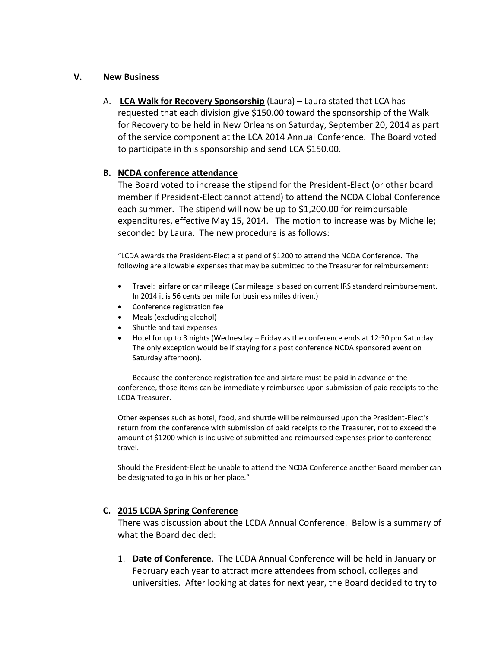#### **V. New Business**

A. **LCA Walk for Recovery Sponsorship** (Laura) – Laura stated that LCA has requested that each division give \$150.00 toward the sponsorship of the Walk for Recovery to be held in New Orleans on Saturday, September 20, 2014 as part of the service component at the LCA 2014 Annual Conference. The Board voted to participate in this sponsorship and send LCA \$150.00.

## **B. NCDA conference attendance**

The Board voted to increase the stipend for the President-Elect (or other board member if President-Elect cannot attend) to attend the NCDA Global Conference each summer. The stipend will now be up to \$1,200.00 for reimbursable expenditures, effective May 15, 2014. The motion to increase was by Michelle; seconded by Laura. The new procedure is as follows:

"LCDA awards the President-Elect a stipend of \$1200 to attend the NCDA Conference. The following are allowable expenses that may be submitted to the Treasurer for reimbursement:

- Travel: airfare or car mileage (Car mileage is based on current IRS standard reimbursement. In 2014 it is 56 cents per mile for business miles driven.)
- Conference registration fee
- Meals (excluding alcohol)
- Shuttle and taxi expenses
- Hotel for up to 3 nights (Wednesday Friday as the conference ends at 12:30 pm Saturday. The only exception would be if staying for a post conference NCDA sponsored event on Saturday afternoon).

Because the conference registration fee and airfare must be paid in advance of the conference, those items can be immediately reimbursed upon submission of paid receipts to the LCDA Treasurer.

Other expenses such as hotel, food, and shuttle will be reimbursed upon the President-Elect's return from the conference with submission of paid receipts to the Treasurer, not to exceed the amount of \$1200 which is inclusive of submitted and reimbursed expenses prior to conference travel.

Should the President-Elect be unable to attend the NCDA Conference another Board member can be designated to go in his or her place."

#### **C. 2015 LCDA Spring Conference**

There was discussion about the LCDA Annual Conference. Below is a summary of what the Board decided:

1. **Date of Conference**. The LCDA Annual Conference will be held in January or February each year to attract more attendees from school, colleges and universities. After looking at dates for next year, the Board decided to try to